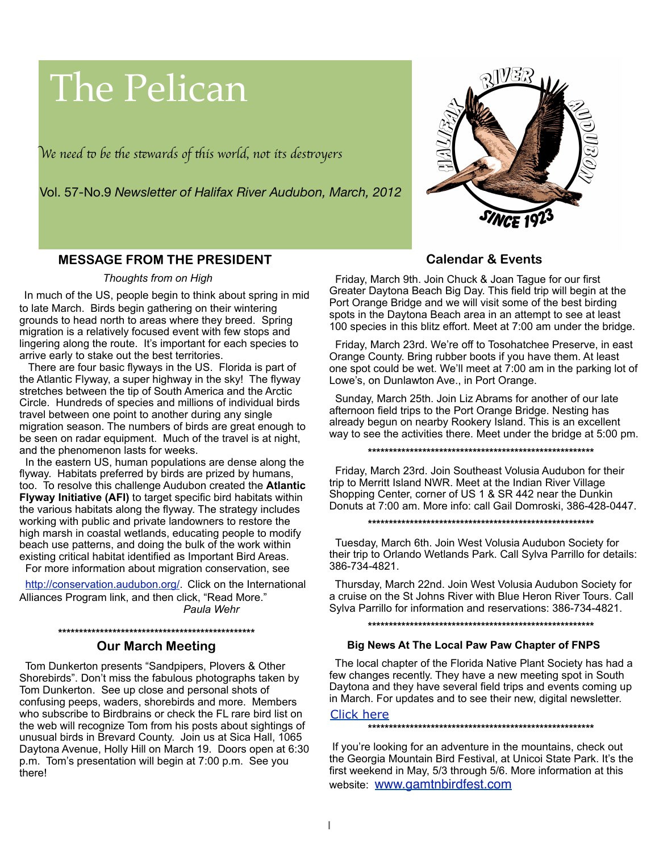# The Pelican

W*e need* " *be* #*e s*\$*wards of* #*is world, not its des*%*oyer*s



Vol. 57-No.9 *Newsletter of Halifax River Audubon, March, 2012*

# **MESSAGE FROM THE PRESIDENT**

#### *Thoughts from on High*

In much of the US, people begin to think about spring in mid to late March. Birds begin gathering on their wintering grounds to head north to areas where they breed. Spring migration is a relatively focused event with few stops and lingering along the route. It's important for each species to arrive early to stake out the best territories.

 There are four basic flyways in the US. Florida is part of the Atlantic Flyway, a super highway in the sky! The flyway stretches between the tip of South America and the Arctic Circle. Hundreds of species and millions of individual birds travel between one point to another during any single migration season. The numbers of birds are great enough to be seen on radar equipment. Much of the travel is at night, and the phenomenon lasts for weeks.

 In the eastern US, human populations are dense along the flyway. Habitats preferred by birds are prized by humans, too. To resolve this challenge Audubon created the **Atlantic Flyway Initiative (AFI)** to target specific bird habitats within the various habitats along the flyway. The strategy includes working with public and private landowners to restore the high marsh in coastal wetlands, educating people to modify beach use patterns, and doing the bulk of the work within existing critical habitat identified as Important Bird Areas. For more information about migration conservation, see

 [http://conservation.audubon.org/.](http://conservation.audubon.org/) Click on the International Alliances Program link, and then click, "Read More." *Paula Wehr*

#### **\*\*\*\*\*\*\*\*\*\*\*\*\*\*\*\*\*\*\*\*\*\*\*\*\*\*\*\*\*\*\*\*\*\*\*\*\*\*\*\*\*\*\*\*\*\*\***

## **Our March Meeting**

 Tom Dunkerton presents "Sandpipers, Plovers & Other Shorebirds". Don't miss the fabulous photographs taken by Tom Dunkerton. See up close and personal shots of confusing peeps, waders, shorebirds and more. Members who subscribe to Birdbrains or check the FL rare bird list on the web will recognize Tom from his posts about sightings of unusual birds in Brevard County. Join us at Sica Hall, 1065 Daytona Avenue, Holly Hill on March 19. Doors open at 6:30 p.m. Tom's presentation will begin at 7:00 p.m. See you there!

# **Calendar & Events**

 Friday, March 9th. Join Chuck & Joan Tague for our first Greater Daytona Beach Big Day. This field trip will begin at the Port Orange Bridge and we will visit some of the best birding spots in the Daytona Beach area in an attempt to see at least 100 species in this blitz effort. Meet at 7:00 am under the bridge.

 Friday, March 23rd. We're off to Tosohatchee Preserve, in east Orange County. Bring rubber boots if you have them. At least one spot could be wet. We'll meet at  $7:00$  am in the parking lot of Lowe's, on Dunlawton Ave., in Port Orange.

 Sunday, March 25th. Join Liz Abrams for another of our late afternoon field trips to the Port Orange Bridge. Nesting has already begun on nearby Rookery Island. This is an excellent way to see the activities there. Meet under the bridge at 5:00 pm.

**\*\*\*\*\*\*\*\*\*\*\*\*\*\*\*\*\*\*\*\*\*\*\*\*\*\*\*\*\*\*\*\*\*\*\*\*\*\*\*\*\*\*\*\*\*\*\*\*\*\*\*\*\*\***

 Friday, March 23rd. Join Southeast Volusia Audubon for their trip to Merritt Island NWR. Meet at the Indian River Village Shopping Center, corner of US 1 & SR 442 near the Dunkin Donuts at 7:00 am. More info: call Gail Domroski, 386-428-0447.

**\*\*\*\*\*\*\*\*\*\*\*\*\*\*\*\*\*\*\*\*\*\*\*\*\*\*\*\*\*\*\*\*\*\*\*\*\*\*\*\*\*\*\*\*\*\*\*\*\*\*\*\*\*\***

Tuesday, March 6th. Join West Volusia Audubon Society for their trip to Orlando Wetlands Park. Call Sylva Parrillo for details: 386-734-4821.

 Thursday, March 22nd. Join West Volusia Audubon Society for a cruise on the St Johns River with Blue Heron River Tours. Call Sylva Parrillo for information and reservations: 386-734-4821.

**\*\*\*\*\*\*\*\*\*\*\*\*\*\*\*\*\*\*\*\*\*\*\*\*\*\*\*\*\*\*\*\*\*\*\*\*\*\*\*\*\*\*\*\*\*\*\*\*\*\*\*\*\*\***

#### **Big News At The Local Paw Paw Chapter of FNPS**

 The local chapter of the Florida Native Plant Society has had a few changes recently. They have a new meeting spot in South Daytona and they have several field trips and events coming up in March. For updates and to see their new, digital newsletter.

Click here

**\*\*\*\*\*\*\*\*\*\*\*\*\*\*\*\*\*\*\*\*\*\*\*\*\*\*\*\*\*\*\*\*\*\*\*\*\*\*\*\*\*\*\*\*\*\*\*\*\*\*\*\*\*\***

 If you're looking for an adventure in the mountains, check out the Georgia Mountain Bird Festival, at Unicoi State Park. It's the first weekend in May, 5/3 through 5/6. More information at this website: [www.gamtnbirdfest.com](http://www.gamtnbirdfest.com/)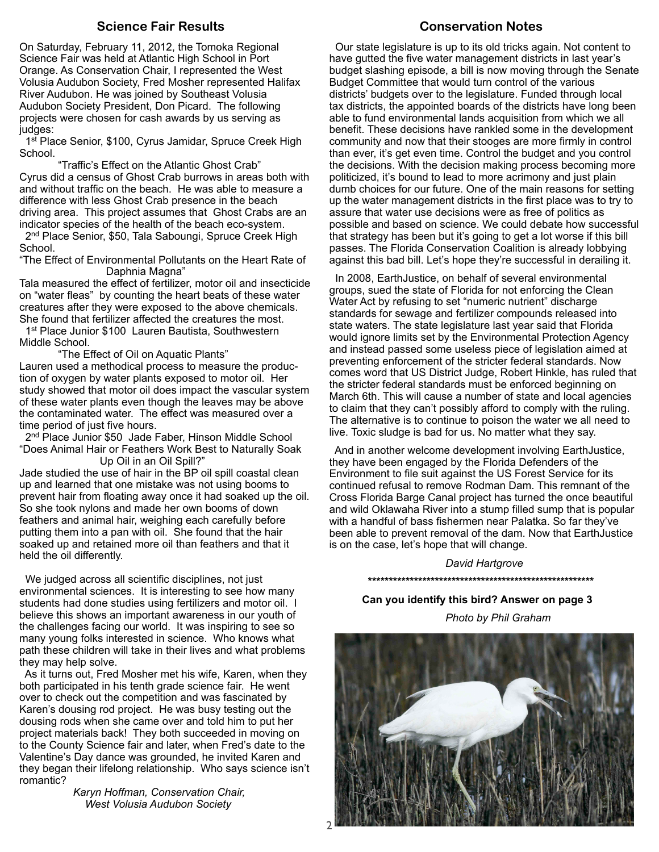#### **Science Fair Results**

On Saturday, February 11, 2012, the Tomoka Regional Science Fair was held at Atlantic High School in Port Orange. As Conservation Chair, I represented the West Volusia Audubon Society, Fred Mosher represented Halifax River Audubon. He was joined by Southeast Volusia Audubon Society President, Don Picard. The following projects were chosen for cash awards by us serving as judges:

1st Place Senior, \$100, Cyrus Jamidar, Spruce Creek High School.

Traffic's Effect on the Atlantic Ghost Crab" Cyrus did a census of Ghost Crab burrows in areas both with and without traffic on the beach. He was able to measure a difference with less Ghost Crab presence in the beach driving area. This project assumes that Ghost Crabs are an indicator species of the health of the beach eco-system. 2<sup>nd</sup> Place Senior, \$50, Tala Saboungi, Spruce Creek High

School.

"The Effect of Environmental Pollutants on the Heart Rate of Daphnia Magna"

Tala measured the effect of fertilizer, motor oil and insecticide on "water fleas" by counting the heart beats of these water creatures after they were exposed to the above chemicals. She found that fertilizer affected the creatures the most.

1<sup>st</sup> Place Junior \$100 Lauren Bautista, Southwestern Middle School.

"The Effect of Oil on Aquatic Plants"

Lauren used a methodical process to measure the production of oxygen by water plants exposed to motor oil. Her study showed that motor oil does impact the vascular system of these water plants even though the leaves may be above the contaminated water. The effect was measured over a time period of just five hours.

 2nd Place Junior \$50 Jade Faber, Hinson Middle School "Does Animal Hair or Feathers Work Best to Naturally Soak Up Oil in an Oil Spill?"

Jade studied the use of hair in the BP oil spill coastal clean up and learned that one mistake was not using booms to prevent hair from floating away once it had soaked up the oil. So she took nylons and made her own booms of down feathers and animal hair, weighing each carefully before putting them into a pan with oil. She found that the hair soaked up and retained more oil than feathers and that it held the oil differently.

 We judged across all scientific disciplines, not just environmental sciences. It is interesting to see how many students had done studies using fertilizers and motor oil. I believe this shows an important awareness in our youth of the challenges facing our world. It was inspiring to see so many young folks interested in science. Who knows what path these children will take in their lives and what problems they may help solve.

 As it turns out, Fred Mosher met his wife, Karen, when they both participated in his tenth grade science fair. He went over to check out the competition and was fascinated by Karen's dousing rod project. He was busy testing out the dousing rods when she came over and told him to put her project materials back! They both succeeded in moving on to the County Science fair and later, when Fred's date to the Valentine's Day dance was grounded, he invited Karen and they began their lifelong relationship. Who says science isn't romantic?

 *Karyn Hoffman, Conservation Chair, West Volusia Audubon Society*

# **Conservation Notes**

 Our state legislature is up to its old tricks again. Not content to have gutted the five water management districts in last year's budget slashing episode, a bill is now moving through the Senate Budget Committee that would turn control of the various districts' budgets over to the legislature. Funded through local tax districts, the appointed boards of the districts have long been able to fund environmental lands acquisition from which we all benefit. These decisions have rankled some in the development community and now that their stooges are more firmly in control than ever, it's get even time. Control the budget and you control the decisions. With the decision making process becoming more politicized, it's bound to lead to more acrimony and just plain dumb choices for our future. One of the main reasons for setting up the water management districts in the first place was to try to assure that water use decisions were as free of politics as possible and based on science. We could debate how successful that strategy has been but it's going to get a lot worse if this bill passes. The Florida Conservation Coalition is already lobbying against this bad bill. Let's hope they're successful in derailing it.

 In 2008, EarthJustice, on behalf of several environmental groups, sued the state of Florida for not enforcing the Clean Water Act by refusing to set "numeric nutrient" discharge standards for sewage and fertilizer compounds released into state waters. The state legislature last year said that Florida would ignore limits set by the Environmental Protection Agency and instead passed some useless piece of legislation aimed at preventing enforcement of the stricter federal standards. Now comes word that US District Judge, Robert Hinkle, has ruled that the stricter federal standards must be enforced beginning on March 6th. This will cause a number of state and local agencies to claim that they can't possibly afford to comply with the ruling. The alternative is to continue to poison the water we all need to live. Toxic sludge is bad for us. No matter what they say.

 And in another welcome development involving EarthJustice, they have been engaged by the Florida Defenders of the Environment to file suit against the US Forest Service for its continued refusal to remove Rodman Dam. This remnant of the Cross Florida Barge Canal project has turned the once beautiful and wild Oklawaha River into a stump filled sump that is popular with a handful of bass fishermen near Palatka. So far they've been able to prevent removal of the dam. Now that EarthJustice is on the case, let's hope that will change.

#### *David Hartgrove*  **\*\*\*\*\*\*\*\*\*\*\*\*\*\*\*\*\*\*\*\*\*\*\*\*\*\*\*\*\*\*\*\*\*\*\*\*\*\*\*\*\*\*\*\*\*\*\*\*\*\*\*\*\*\***

 **Can you identify this bird? Answer on page 3**

 *Photo by Phil Graham*

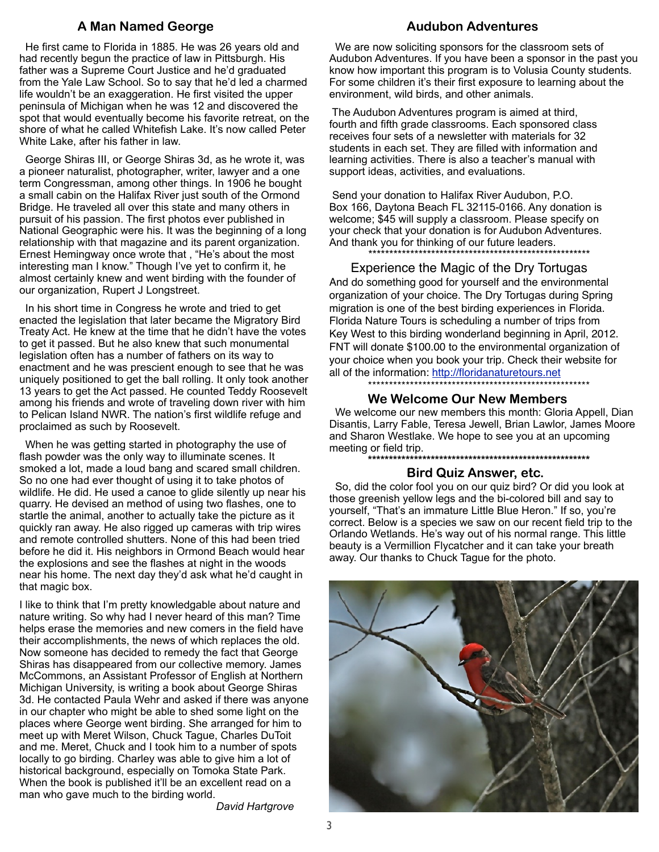# **A Man Named George**

 He first came to Florida in 1885. He was 26 years old and had recently begun the practice of law in Pittsburgh. His father was a Supreme Court Justice and he'd graduated from the Yale Law School. So to say that he'd led a charmed life wouldn't be an exaggeration. He first visited the upper peninsula of Michigan when he was 12 and discovered the spot that would eventually become his favorite retreat, on the shore of what he called Whitefish Lake. It's now called Peter White Lake, after his father in law.

 George Shiras III, or George Shiras 3d, as he wrote it, was a pioneer naturalist, photographer, writer, lawyer and a one term Congressman, among other things. In 1906 he bought a small cabin on the Halifax River just south of the Ormond Bridge. He traveled all over this state and many others in pursuit of his passion. The first photos ever published in National Geographic were his. It was the beginning of a long relationship with that magazine and its parent organization. Ernest Hemingway once wrote that , "He's about the most interesting man I know." Though I've yet to confirm it, he almost certainly knew and went birding with the founder of our organization, Rupert J Longstreet.

 In his short time in Congress he wrote and tried to get enacted the legislation that later became the Migratory Bird Treaty Act. He knew at the time that he didn't have the votes to get it passed. But he also knew that such monumental legislation often has a number of fathers on its way to enactment and he was prescient enough to see that he was uniquely positioned to get the ball rolling. It only took another 13 years to get the Act passed. He counted Teddy Roosevelt among his friends and wrote of traveling down river with him to Pelican Island NWR. The nation's first wildlife refuge and proclaimed as such by Roosevelt.

 When he was getting started in photography the use of flash powder was the only way to illuminate scenes. It smoked a lot, made a loud bang and scared small children. So no one had ever thought of using it to take photos of wildlife. He did. He used a canoe to glide silently up near his quarry. He devised an method of using two flashes, one to startle the animal, another to actually take the picture as it quickly ran away. He also rigged up cameras with trip wires and remote controlled shutters. None of this had been tried before he did it. His neighbors in Ormond Beach would hear the explosions and see the flashes at night in the woods near his home. The next day they'd ask what he'd caught in that magic box.

I like to think that I'm pretty knowledgable about nature and nature writing. So why had I never heard of this man? Time helps erase the memories and new comers in the field have their accomplishments, the news of which replaces the old. Now someone has decided to remedy the fact that George Shiras has disappeared from our collective memory. James McCommons, an Assistant Professor of English at Northern Michigan University, is writing a book about George Shiras 3d. He contacted Paula Wehr and asked if there was anyone in our chapter who might be able to shed some light on the places where George went birding. She arranged for him to meet up with Meret Wilson, Chuck Tague, Charles DuToit and me. Meret, Chuck and I took him to a number of spots locally to go birding. Charley was able to give him a lot of historical background, especially on Tomoka State Park. When the book is published it'll be an excellent read on a man who gave much to the birding world.

*David Hartgrove*

## **Audubon Adventures**

 We are now soliciting sponsors for the classroom sets of Audubon Adventures. If you have been a sponsor in the past you know how important this program is to Volusia County students. For some children it's their first exposure to learning about the environment, wild birds, and other animals.

 The Audubon Adventures program is aimed at third, fourth and fifth grade classrooms. Each sponsored class receives four sets of a newsletter with materials for 32 students in each set. They are filled with information and learning activities. There is also a teacher's manual with support ideas, activities, and evaluations.

 Send your donation to Halifax River Audubon, P.O. Box 166, Daytona Beach FL 32115-0166. Any donation is welcome; \$45 will supply a classroom. Please specify on your check that your donation is for Audubon Adventures. And thank you for thinking of our future leaders.

\*\*\*\*\*\*\*\*\*\*\*\*\*\*\*\*\*\*\*\*\*\*\*\*\*\*\*\*\*\*\*\*\*\*\*\*\*\*\*\*\*\*\*\*\*\*\*\*\*\*\*\*\*

#### Experience the Magic of the Dry Tortugas

And do something good for yourself and the environmental organization of your choice. The Dry Tortugas during Spring migration is one of the best birding experiences in Florida. Florida Nature Tours is scheduling a number of trips from Key West to this birding wonderland beginning in April, 2012. FNT will donate \$100.00 to the environmental organization of your choice when you book your trip. Check their website for all of the information:<http://floridanaturetours.net>

\*\*\*\*\*\*\*\*\*\*\*\*\*\*\*\*\*\*\*\*\*\*\*\*\*\*\*\*\*\*\*\*\*\*\*\*\*\*\*\*\*\*\*\*\*\*\*\*\*\*\*\*\*

#### **We Welcome Our New Members**

 We welcome our new members this month: Gloria Appell, Dian Disantis, Larry Fable, Teresa Jewell, Brian Lawlor, James Moore and Sharon Westlake. We hope to see you at an upcoming meeting or field trip.

**\*\*\*\*\*\*\*\*\*\*\*\*\*\*\*\*\*\*\*\*\*\*\*\*\*\*\*\*\*\*\*\*\*\*\*\*\*\*\*\*\*\*\*\*\*\*\*\*\*\*\*\*\***

#### **Bird Quiz Answer, etc.**

 So, did the color fool you on our quiz bird? Or did you look at those greenish yellow legs and the bi-colored bill and say to yourself, "That's an immature Little Blue Heron." If so, you're correct. Below is a species we saw on our recent field trip to the Orlando Wetlands. He's way out of his normal range. This little beauty is a Vermillion Flycatcher and it can take your breath away. Our thanks to Chuck Tague for the photo.